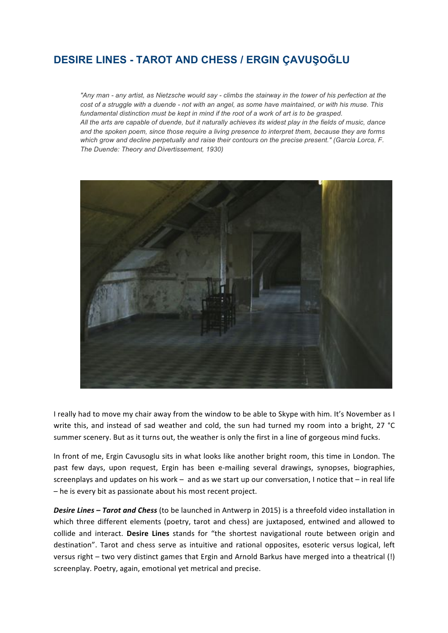## **DESIRE LINES - TAROT AND CHESS / ERGIN ÇAVUŞOĞLU**

*"Any man - any artist, as Nietzsche would say - climbs the stairway in the tower of his perfection at the cost of a struggle with a duende - not with an angel, as some have maintained, or with his muse. This fundamental distinction must be kept in mind if the root of a work of art is to be grasped. All the arts are capable of duende, but it naturally achieves its widest play in the fields of music, dance and the spoken poem, since those require a living presence to interpret them, because they are forms which grow and decline perpetually and raise their contours on the precise present." (Garcia Lorca, F. The Duende: Theory and Divertissement, 1930)*



I really had to move my chair away from the window to be able to Skype with him. It's November as I write this, and instead of sad weather and cold, the sun had turned my room into a bright, 27 °C summer scenery. But as it turns out, the weather is only the first in a line of gorgeous mind fucks.

In front of me, Ergin Cavusoglu sits in what looks like another bright room, this time in London. The past few days, upon request, Ergin has been e-mailing several drawings, synopses, biographies, screenplays and updates on his work – and as we start up our conversation, I notice that  $-$  in real life  $-$  he is every bit as passionate about his most recent project.

**Desire Lines – Tarot and Chess** (to be launched in Antwerp in 2015) is a threefold video installation in which three different elements (poetry, tarot and chess) are juxtaposed, entwined and allowed to collide and interact. **Desire Lines** stands for "the shortest navigational route between origin and destination". Tarot and chess serve as intuitive and rational opposites, esoteric versus logical, left versus right – two very distinct games that Ergin and Arnold Barkus have merged into a theatrical (!) screenplay. Poetry, again, emotional yet metrical and precise.